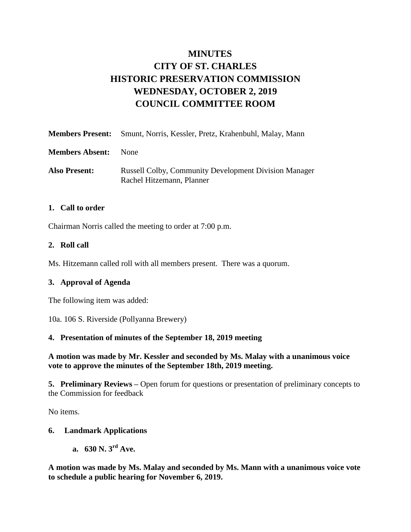# **MINUTES CITY OF ST. CHARLES HISTORIC PRESERVATION COMMISSION WEDNESDAY, OCTOBER 2, 2019 COUNCIL COMMITTEE ROOM**

|                        | <b>Members Present:</b> Smunt, Norris, Kessler, Pretz, Krahenbuhl, Malay, Mann            |
|------------------------|-------------------------------------------------------------------------------------------|
| <b>Members Absent:</b> | <b>None</b>                                                                               |
| <b>Also Present:</b>   | <b>Russell Colby, Community Development Division Manager</b><br>Rachel Hitzemann, Planner |

## **1. Call to order**

Chairman Norris called the meeting to order at 7:00 p.m.

### **2. Roll call**

Ms. Hitzemann called roll with all members present. There was a quorum.

## **3. Approval of Agenda**

The following item was added:

10a. 106 S. Riverside (Pollyanna Brewery)

## **4. Presentation of minutes of the September 18, 2019 meeting**

**A motion was made by Mr. Kessler and seconded by Ms. Malay with a unanimous voice vote to approve the minutes of the September 18th, 2019 meeting.** 

**5. Preliminary Reviews –** Open forum for questions or presentation of preliminary concepts to the Commission for feedback

No items.

## **6. Landmark Applications**

**a. 630 N. 3rd Ave.** 

**A motion was made by Ms. Malay and seconded by Ms. Mann with a unanimous voice vote to schedule a public hearing for November 6, 2019.**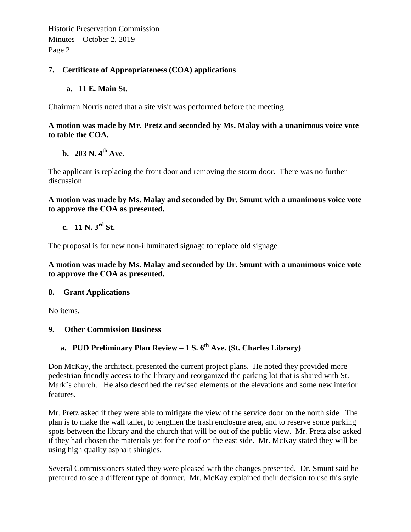Historic Preservation Commission Minutes – October 2, 2019 Page 2

## **7. Certificate of Appropriateness (COA) applications**

## **a. 11 E. Main St.**

Chairman Norris noted that a site visit was performed before the meeting.

## **A motion was made by Mr. Pretz and seconded by Ms. Malay with a unanimous voice vote to table the COA.**

# **b. 203 N. 4th Ave.**

The applicant is replacing the front door and removing the storm door. There was no further discussion.

**A motion was made by Ms. Malay and seconded by Dr. Smunt with a unanimous voice vote to approve the COA as presented.** 

## **c. 11 N. 3rd St.**

The proposal is for new non-illuminated signage to replace old signage.

**A motion was made by Ms. Malay and seconded by Dr. Smunt with a unanimous voice vote to approve the COA as presented.** 

#### **8. Grant Applications**

No items.

## **9. Other Commission Business**

# **a. PUD Preliminary Plan Review – 1 S. 6th Ave. (St. Charles Library)**

Don McKay, the architect, presented the current project plans. He noted they provided more pedestrian friendly access to the library and reorganized the parking lot that is shared with St. Mark's church. He also described the revised elements of the elevations and some new interior features.

Mr. Pretz asked if they were able to mitigate the view of the service door on the north side. The plan is to make the wall taller, to lengthen the trash enclosure area, and to reserve some parking spots between the library and the church that will be out of the public view. Mr. Pretz also asked if they had chosen the materials yet for the roof on the east side. Mr. McKay stated they will be using high quality asphalt shingles.

Several Commissioners stated they were pleased with the changes presented. Dr. Smunt said he preferred to see a different type of dormer. Mr. McKay explained their decision to use this style